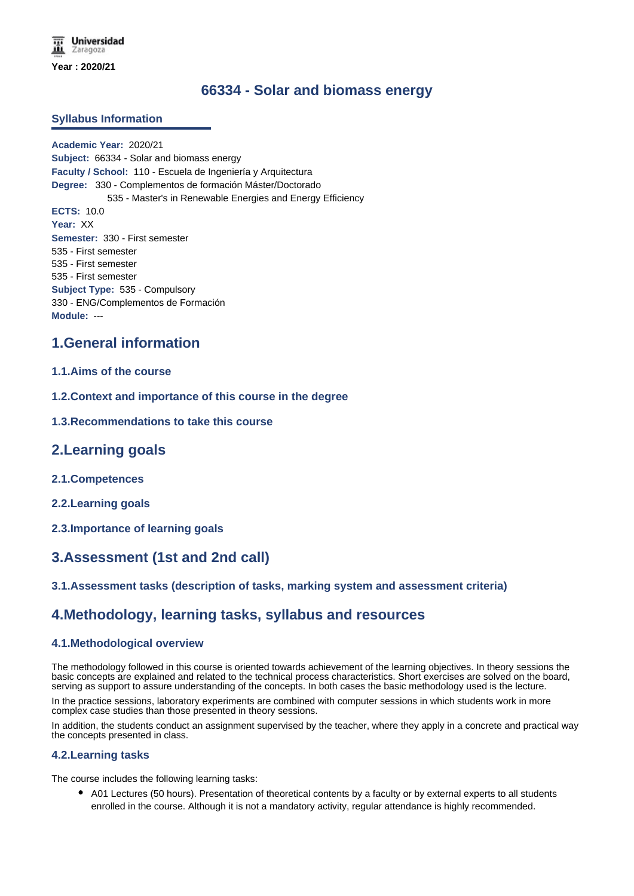# **66334 - Solar and biomass energy**

### **Syllabus Information**

**Academic Year:** 2020/21 **Subject:** 66334 - Solar and biomass energy **Faculty / School:** 110 - Escuela de Ingeniería y Arquitectura **Degree:** 330 - Complementos de formación Máster/Doctorado 535 - Master's in Renewable Energies and Energy Efficiency **ECTS:** 10.0 **Year:** XX **Semester:** 330 - First semester 535 - First semester 535 - First semester 535 - First semester **Subject Type:** 535 - Compulsory 330 - ENG/Complementos de Formación **Module:** ---

## **1.General information**

### **1.1.Aims of the course**

**1.2.Context and importance of this course in the degree**

### **1.3.Recommendations to take this course**

## **2.Learning goals**

- **2.1.Competences**
- **2.2.Learning goals**
- **2.3.Importance of learning goals**

# **3.Assessment (1st and 2nd call)**

### **3.1.Assessment tasks (description of tasks, marking system and assessment criteria)**

## **4.Methodology, learning tasks, syllabus and resources**

### **4.1.Methodological overview**

The methodology followed in this course is oriented towards achievement of the learning objectives. In theory sessions the basic concepts are explained and related to the technical process characteristics. Short exercises are solved on the board, serving as support to assure understanding of the concepts. In both cases the basic methodology used is the lecture.

In the practice sessions, laboratory experiments are combined with computer sessions in which students work in more complex case studies than those presented in theory sessions.

In addition, the students conduct an assignment supervised by the teacher, where they apply in a concrete and practical way the concepts presented in class.

### **4.2.Learning tasks**

The course includes the following learning tasks:

A01 Lectures (50 hours). Presentation of theoretical contents by a faculty or by external experts to all students enrolled in the course. Although it is not a mandatory activity, regular attendance is highly recommended.